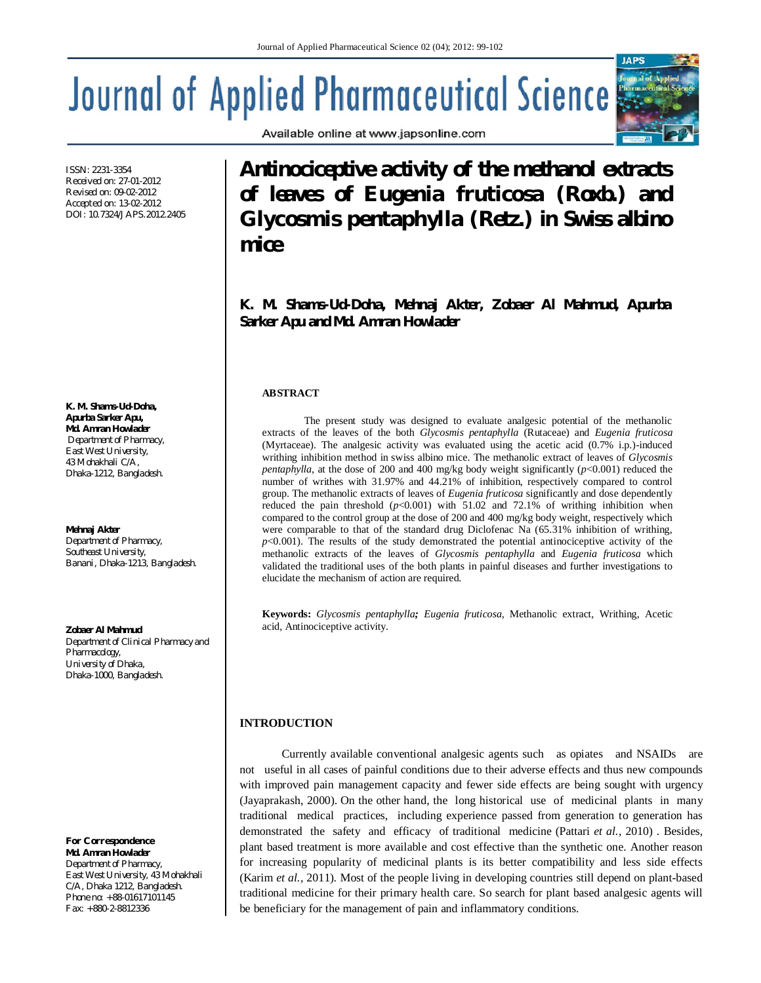Available online at www.japsonline.com

# **Journal of Applied Pharmaceutical Science**

ISSN: 2231-3354 Received on: 27-01-2012 Revised on: 09-02-2012 Accepted on: 13-02-2012 DOI: 10.7324/JAPS.2012.2405

**K. M. Shams-Ud-Doha, Apurba Sarker Apu, Md. Amran Howlader** *Department of Pharmacy, East West University, 43 Mohakhali C/A, Dhaka-1212, Bangladesh.*

#### **Mehnaj Akter** *Department of Pharmacy,*

*Southeast University, Banani, Dhaka-1213, Bangladesh.*

#### **Zobaer Al Mahmud**

*Department of Clinical Pharmacy and Pharmacology, University of Dhaka, Dhaka-1000, Bangladesh.*

*For Correspondence* **Md. Amran Howlader** *Department of Pharmacy, East West University, 43 Mohakhali C/A, Dhaka 1212, Bangladesh. Phone no: +88-01617101145 Fax: +880-2-8812336*

**Antinociceptive activity of the methanol extracts of leaves of** *Eugenia fruticosa* **(Roxb.) and**  *Glycosmis pentaphylla* **(Retz.) in Swiss albino mice**

**K. M. Shams-Ud-Doha, Mehnaj Akter, Zobaer Al Mahmud, Apurba Sarker Apu and Md. Amran Howlader**

## **ABSTRACT**

The present study was designed to evaluate analgesic potential of the methanolic extracts of the leaves of the both *Glycosmis pentaphylla* (Rutaceae) and *Eugenia fruticosa* (Myrtaceae). The analgesic activity was evaluated using the acetic acid (0.7% i.p.)-induced writhing inhibition method in swiss albino mice. The methanolic extract of leaves of *Glycosmis pentaphylla*, at the dose of 200 and 400 mg/kg body weight significantly (*p*<0.001) reduced the number of writhes with 31.97% and 44.21% of inhibition, respectively compared to control group. The methanolic extracts of leaves of *Eugenia fruticosa* significantly and dose dependently reduced the pain threshold  $(p<0.001)$  with 51.02 and 72.1% of writhing inhibition when compared to the control group at the dose of 200 and 400 mg/kg body weight, respectively which were comparable to that of the standard drug Diclofenac Na (65.31% inhibition of writhing,  $p$ <0.001). The results of the study demonstrated the potential antinociceptive activity of the methanolic extracts of the leaves of *Glycosmis pentaphylla* and *Eugenia fruticosa* which validated the traditional uses of the both plants in painful diseases and further investigations to elucidate the mechanism of action are required.

**Keywords:** *Glycosmis pentaphylla; Eugenia fruticosa,* Methanolic extract, Writhing, Acetic acid, Antinociceptive activity.

### **INTRODUCTION**

Currently available conventional analgesic agents such as opiates and NSAIDs are not useful in all cases of painful conditions due to their adverse effects and thus new compounds with improved pain management capacity and fewer side effects are being sought with urgency (Jayaprakash, 2000). On the other hand, the long historical use of medicinal plants in many traditional medical practices, including experience passed from generation to generation has demonstrated the safety and efficacy of traditional medicine (Pattari *et al.,* 2010) . Besides, plant based treatment is more available and cost effective than the synthetic one. Another reason for increasing popularity of medicinal plants is its better compatibility and less side effects (Karim *et al.,* 2011). Most of the people living in developing countries still depend on plant-based traditional medicine for their primary health care. So search for plant based analgesic agents will be beneficiary for the management of pain and inflammatory conditions.

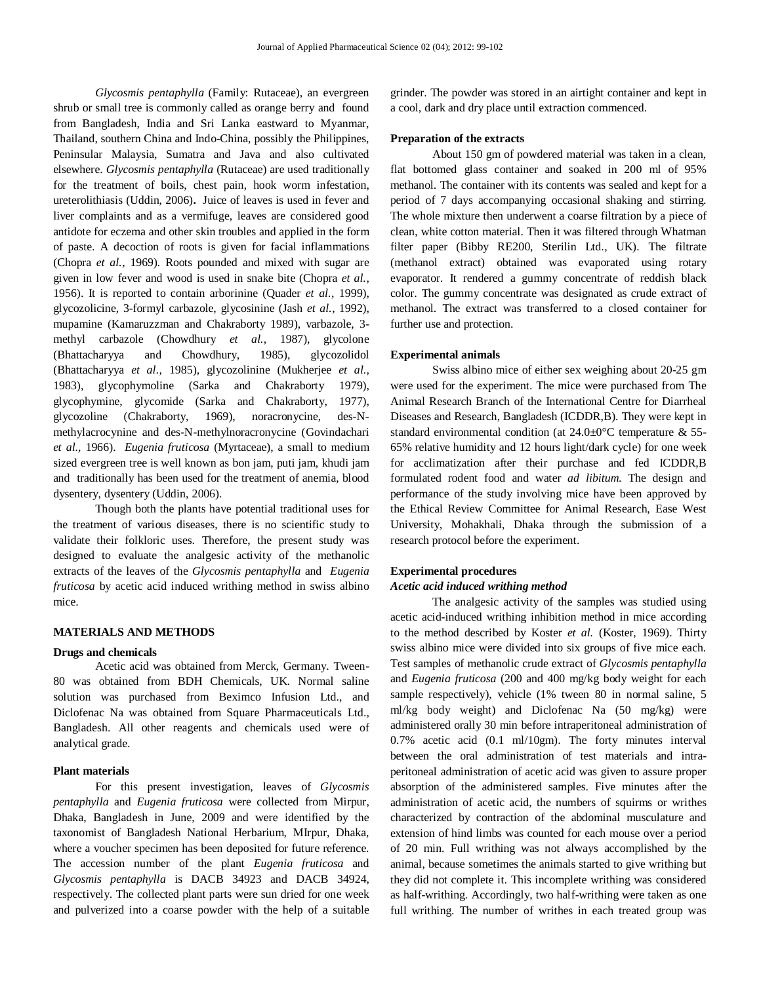*Glycosmis pentaphylla* (Family: Rutaceae), an evergreen shrub or small tree is commonly called as orange berry and found from Bangladesh, India and Sri Lanka eastward to Myanmar, Thailand, southern China and Indo-China, possibly the Philippines, Peninsular Malaysia, Sumatra and Java and also cultivated elsewhere. *Glycosmis pentaphylla* (Rutaceae) are used traditionally for the treatment of boils, chest pain, hook worm infestation, ureterolithiasis (Uddin, 2006)**.** Juice of leaves is used in fever and liver complaints and as a vermifuge, leaves are considered good antidote for eczema and other skin troubles and applied in the form of paste. A decoction of roots is given for facial inflammations (Chopra *et al.,* 1969). Roots pounded and mixed with sugar are given in low fever and wood is used in snake bite (Chopra *et al.,* 1956). It is reported to contain arborinine (Quader *et al.,* 1999), glycozolicine, 3-formyl carbazole, glycosinine (Jash *et al.,* 1992), mupamine (Kamaruzzman and Chakraborty 1989), varbazole, 3 methyl carbazole (Chowdhury *et al.,* 1987), glycolone (Bhattacharyya and Chowdhury, 1985), glycozolidol (Bhattacharyya *et al.,* 1985), glycozolinine (Mukherjee *et al.,*  1983), glycophymoline (Sarka and Chakraborty 1979), glycophymine, glycomide (Sarka and Chakraborty, 1977), glycozoline (Chakraborty, 1969), noracronycine, des-Nmethylacrocynine and des-N-methylnoracronycine (Govindachari *et al.,* 1966). *Eugenia fruticosa* (Myrtaceae), a small to medium sized evergreen tree is well known as bon jam, puti jam, khudi jam and traditionally has been used for the treatment of anemia, blood dysentery, dysentery (Uddin, 2006).

Though both the plants have potential traditional uses for the treatment of various diseases, there is no scientific study to validate their folkloric uses. Therefore, the present study was designed to evaluate the analgesic activity of the methanolic extracts of the leaves of the *Glycosmis pentaphylla* and *Eugenia fruticosa* by acetic acid induced writhing method in swiss albino mice.

# **MATERIALS AND METHODS**

## **Drugs and chemicals**

Acetic acid was obtained from Merck, Germany. Tween-80 was obtained from BDH Chemicals, UK. Normal saline solution was purchased from Beximco Infusion Ltd., and Diclofenac Na was obtained from Square Pharmaceuticals Ltd., Bangladesh. All other reagents and chemicals used were of analytical grade.

# **Plant materials**

For this present investigation, leaves of *Glycosmis pentaphylla* and *Eugenia fruticosa* were collected from Mirpur, Dhaka, Bangladesh in June, 2009 and were identified by the taxonomist of Bangladesh National Herbarium, MIrpur, Dhaka, where a voucher specimen has been deposited for future reference. The accession number of the plant *Eugenia fruticosa* and *Glycosmis pentaphylla* is DACB 34923 and DACB 34924, respectively. The collected plant parts were sun dried for one week and pulverized into a coarse powder with the help of a suitable

grinder. The powder was stored in an airtight container and kept in a cool, dark and dry place until extraction commenced.

### **Preparation of the extracts**

About 150 gm of powdered material was taken in a clean, flat bottomed glass container and soaked in 200 ml of 95% methanol. The container with its contents was sealed and kept for a period of 7 days accompanying occasional shaking and stirring. The whole mixture then underwent a coarse filtration by a piece of clean, white cotton material. Then it was filtered through Whatman filter paper (Bibby RE200, Sterilin Ltd., UK). The filtrate (methanol extract) obtained was evaporated using rotary evaporator. It rendered a gummy concentrate of reddish black color. The gummy concentrate was designated as crude extract of methanol. The extract was transferred to a closed container for further use and protection.

#### **Experimental animals**

Swiss albino mice of either sex weighing about 20-25 gm were used for the experiment. The mice were purchased from The Animal Research Branch of the International Centre for Diarrheal Diseases and Research, Bangladesh (ICDDR,B). They were kept in standard environmental condition (at 24.0±0°C temperature & 55- 65% relative humidity and 12 hours light/dark cycle) for one week for acclimatization after their purchase and fed ICDDR,B formulated rodent food and water *ad libitum*. The design and performance of the study involving mice have been approved by the Ethical Review Committee for Animal Research, Ease West University, Mohakhali, Dhaka through the submission of a research protocol before the experiment.

# **Experimental procedures**

#### *Acetic acid induced writhing method*

The analgesic activity of the samples was studied using acetic acid-induced writhing inhibition method in mice according to the method described by Koster *et al.* (Koster, 1969). Thirty swiss albino mice were divided into six groups of five mice each. Test samples of methanolic crude extract of *Glycosmis pentaphylla* and *Eugenia fruticosa* (200 and 400 mg/kg body weight for each sample respectively), vehicle (1% tween 80 in normal saline, 5 ml/kg body weight) and Diclofenac Na (50 mg/kg) were administered orally 30 min before intraperitoneal administration of 0.7% acetic acid (0.1 ml/10gm). The forty minutes interval between the oral administration of test materials and intraperitoneal administration of acetic acid was given to assure proper absorption of the administered samples. Five minutes after the administration of acetic acid, the numbers of squirms or writhes characterized by contraction of the abdominal musculature and extension of hind limbs was counted for each mouse over a period of 20 min. Full writhing was not always accomplished by the animal, because sometimes the animals started to give writhing but they did not complete it. This incomplete writhing was considered as half-writhing. Accordingly, two half-writhing were taken as one full writhing. The number of writhes in each treated group was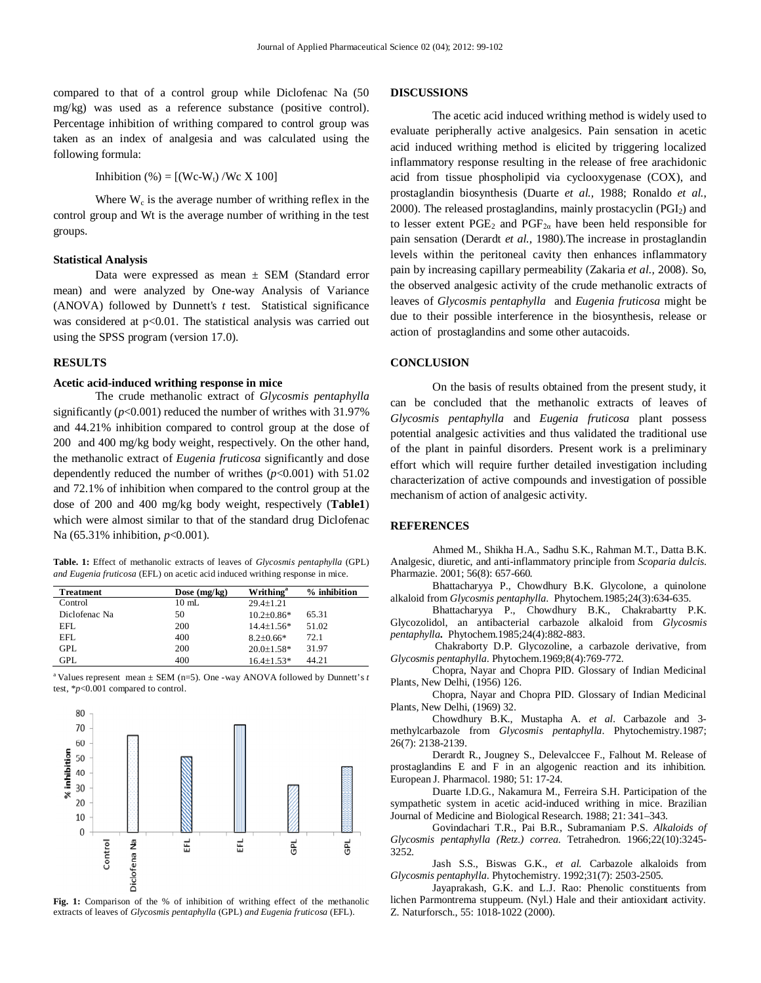compared to that of a control group while Diclofenac Na (50 mg/kg) was used as a reference substance (positive control). Percentage inhibition of writhing compared to control group was taken as an index of analgesia and was calculated using the following formula:

Inhibition (%) =  $[(We-W_t)/We X 100]$ 

Where  $W_c$  is the average number of writhing reflex in the control group and Wt is the average number of writhing in the test groups.

#### **Statistical Analysis**

Data were expressed as mean  $\pm$  SEM (Standard error mean) and were analyzed by One-way Analysis of Variance (ANOVA) followed by Dunnett's *t* test. Statistical significance was considered at p<0.01. The statistical analysis was carried out using the SPSS program (version 17.0).

#### **RESULTS**

### **Acetic acid-induced writhing response in mice**

The crude methanolic extract of *Glycosmis pentaphylla* significantly  $(p<0.001)$  reduced the number of writhes with 31.97% and 44.21% inhibition compared to control group at the dose of 200 and 400 mg/kg body weight, respectively. On the other hand, the methanolic extract of *Eugenia fruticosa* significantly and dose dependently reduced the number of writhes  $(p<0.001)$  with 51.02 and 72.1% of inhibition when compared to the control group at the dose of 200 and 400 mg/kg body weight, respectively (**Table1**) which were almost similar to that of the standard drug Diclofenac Na (65.31% inhibition, *p*<0.001).

**Table. 1:** Effect of methanolic extracts of leaves of *Glycosmis pentaphylla* (GPL) *and Eugenia fruticosa* (EFL) on acetic acid induced writhing response in mice.

| <b>Treatment</b> | Dose $(mg/kg)$  | Writhing <sup>a</sup> | % inhibition |
|------------------|-----------------|-----------------------|--------------|
| Control          | $10 \text{ mL}$ | $29.4 + 1.21$         |              |
| Diclofenac Na    | 50              | $10.2 + 0.86*$        | 65.31        |
| EFL.             | 200             | $14.4 + 1.56*$        | 51.02        |
| EFL.             | 400             | $8.2 + 0.66*$         | 72.1         |
| <b>GPL</b>       | 200             | $20.0 + 1.58*$        | 31.97        |
| <b>GPL</b>       | 400             | $16.4 \pm 1.53*$      | 44.21        |

<sup>a</sup> Values represent mean  $\pm$  SEM (n=5). One -way ANOVA followed by Dunnett's *t* test, \**p*<0.001 compared to control.



Fig. 1: Comparison of the % of inhibition of writhing effect of the methanolic extracts of leaves of *Glycosmis pentaphylla* (GPL) *and Eugenia fruticosa* (EFL).

# **DISCUSSIONS**

The acetic acid induced writhing method is widely used to evaluate peripherally active analgesics. Pain sensation in acetic acid induced writhing method is elicited by triggering localized inflammatory response resulting in the release of free arachidonic acid from tissue phospholipid via cyclooxygenase (COX), and prostaglandin biosynthesis (Duarte *et al.,* 1988; Ronaldo *et al.*, 2000). The released prostaglandins, mainly prostacyclin (PGI<sub>2</sub>) and to lesser extent  $PGE_2$  and  $PGF_{2\alpha}$  have been held responsible for pain sensation (Derardt *et al.,* 1980).The increase in prostaglandin levels within the peritoneal cavity then enhances inflammatory pain by increasing capillary permeability (Zakaria *et al.,* 2008). So, the observed analgesic activity of the crude methanolic extracts of leaves of *Glycosmis pentaphylla* and *Eugenia fruticosa* might be due to their possible interference in the biosynthesis, release or action of prostaglandins and some other autacoids.

# **CONCLUSION**

On the basis of results obtained from the present study, it can be concluded that the methanolic extracts of leaves of *Glycosmis pentaphylla* and *Eugenia fruticosa* plant possess potential analgesic activities and thus validated the traditional use of the plant in painful disorders. Present work is a preliminary effort which will require further detailed investigation including characterization of active compounds and investigation of possible mechanism of action of analgesic activity.

# **REFERENCES**

Ahmed M., Shikha H.A., Sadhu S.K., Rahman M.T., Datta B.K. Analgesic, diuretic, and anti-inflammatory principle from *Scoparia dulcis*. Pharmazie. 2001; 56(8): 657-660.

Bhattacharyya P., Chowdhury B.K. Glycolone, a quinolone alkaloid from *Glycosmis pentaphylla*. Phytochem.1985;24(3):634-635.

Bhattacharyya P., Chowdhury B.K., Chakrabartty P.K. Glycozolidol, an antibacterial carbazole alkaloid from *Glycosmis pentaphylla***.** Phytochem.1985;24(4):882-883.

Chakraborty D.P. Glycozoline, a carbazole derivative, from *Glycosmis pentaphylla*. Phytochem.1969;8(4):769-772.

Chopra, Nayar and Chopra PID. Glossary of Indian Medicinal Plants, New Delhi, (1956) 126.

Chopra, Nayar and Chopra PID. Glossary of Indian Medicinal Plants, New Delhi, (1969) 32.

Chowdhury B.K., Mustapha A. *et al.* Carbazole and 3 methylcarbazole from *Glycosmis pentaphylla*. Phytochemistry.1987; 26(7): 2138-2139.

Derardt R., Jougney S., Delevalccee F., Falhout M. Release of prostaglandins E and F in an algogenic reaction and its inhibition. European J. Pharmacol. 1980; 51: 17-24.

Duarte I.D.G., Nakamura M., Ferreira S.H. Participation of the sympathetic system in acetic acid-induced writhing in mice. Brazilian Journal of Medicine and Biological Research. 1988; 21: 341–343.

Govindachari T.R., Pai B.R., Subramaniam P.S. *Alkaloids of Glycosmis pentaphylla (Retz.) correa*. Tetrahedron. 1966;22(10):3245- 3252.

Jash S.S., Biswas G.K., *et al.* Carbazole alkaloids from *Glycosmis pentaphylla*. Phytochemistry. 1992;31(7): 2503-2505.

Jayaprakash, G.K. and L.J. Rao: Phenolic constituents from lichen Parmontrema stuppeum. (Nyl.) Hale and their antioxidant activity. Z. Naturforsch., 55: 1018-1022 (2000).